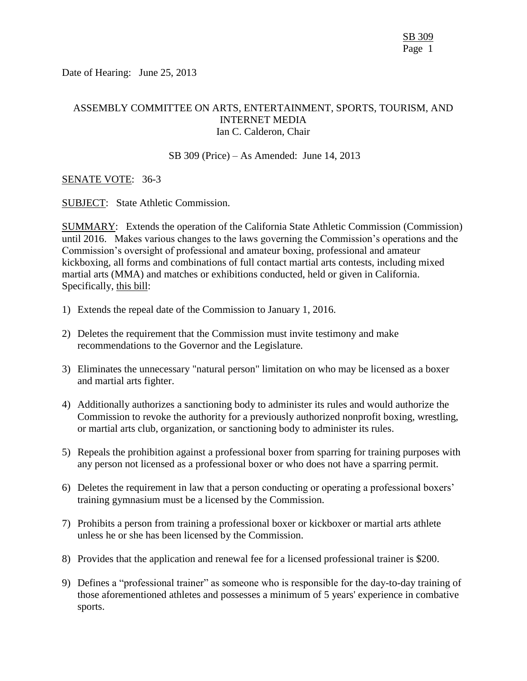Date of Hearing: June 25, 2013

# ASSEMBLY COMMITTEE ON ARTS, ENTERTAINMENT, SPORTS, TOURISM, AND INTERNET MEDIA Ian C. Calderon, Chair

#### SB 309 (Price) – As Amended: June 14, 2013

### SENATE VOTE: 36-3

SUBJECT: State Athletic Commission.

SUMMARY: Extends the operation of the California State Athletic Commission (Commission) until 2016. Makes various changes to the laws governing the Commission's operations and the Commission's oversight of professional and amateur boxing, professional and amateur kickboxing, all forms and combinations of full contact martial arts contests, including mixed martial arts (MMA) and matches or exhibitions conducted, held or given in California. Specifically, this bill:

- 1) Extends the repeal date of the Commission to January 1, 2016.
- 2) Deletes the requirement that the Commission must invite testimony and make recommendations to the Governor and the Legislature.
- 3) Eliminates the unnecessary "natural person" limitation on who may be licensed as a boxer and martial arts fighter.
- 4) Additionally authorizes a sanctioning body to administer its rules and would authorize the Commission to revoke the authority for a previously authorized nonprofit boxing, wrestling, or martial arts club, organization, or sanctioning body to administer its rules.
- 5) Repeals the prohibition against a professional boxer from sparring for training purposes with any person not licensed as a professional boxer or who does not have a sparring permit.
- 6) Deletes the requirement in law that a person conducting or operating a professional boxers' training gymnasium must be a licensed by the Commission.
- 7) Prohibits a person from training a professional boxer or kickboxer or martial arts athlete unless he or she has been licensed by the Commission.
- 8) Provides that the application and renewal fee for a licensed professional trainer is \$200.
- 9) Defines a "professional trainer" as someone who is responsible for the day-to-day training of those aforementioned athletes and possesses a minimum of 5 years' experience in combative sports.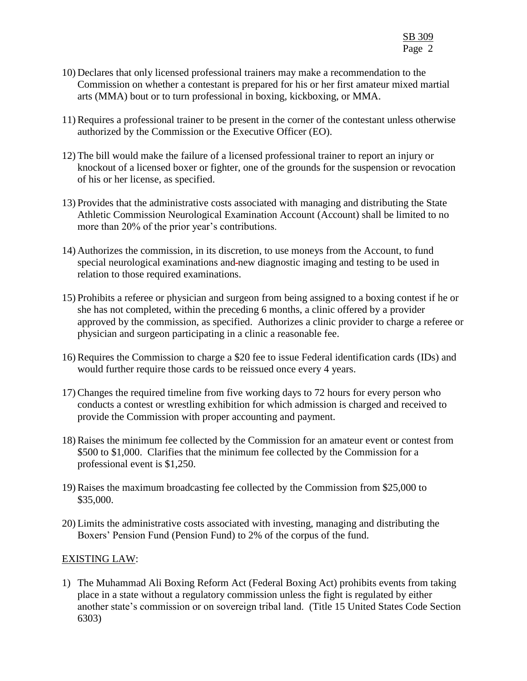- 10) Declares that only licensed professional trainers may make a recommendation to the Commission on whether a contestant is prepared for his or her first amateur mixed martial arts (MMA) bout or to turn professional in boxing, kickboxing, or MMA.
- 11) Requires a professional trainer to be present in the corner of the contestant unless otherwise authorized by the Commission or the Executive Officer (EO).
- 12) The bill would make the failure of a licensed professional trainer to report an injury or knockout of a licensed boxer or fighter, one of the grounds for the suspension or revocation of his or her license, as specified.
- 13) Provides that the administrative costs associated with managing and distributing the State Athletic Commission Neurological Examination Account (Account) shall be limited to no more than 20% of the prior year's contributions.
- 14) Authorizes the commission, in its discretion, to use moneys from the Account, to fund special neurological examinations and new diagnostic imaging and testing to be used in relation to those required examinations.
- 15) Prohibits a referee or physician and surgeon from being assigned to a boxing contest if he or she has not completed, within the preceding 6 months, a clinic offered by a provider approved by the commission, as specified. Authorizes a clinic provider to charge a referee or physician and surgeon participating in a clinic a reasonable fee.
- 16) Requires the Commission to charge a \$20 fee to issue Federal identification cards (IDs) and would further require those cards to be reissued once every 4 years.
- 17) Changes the required timeline from five working days to 72 hours for every person who conducts a contest or wrestling exhibition for which admission is charged and received to provide the Commission with proper accounting and payment.
- 18) Raises the minimum fee collected by the Commission for an amateur event or contest from \$500 to \$1,000. Clarifies that the minimum fee collected by the Commission for a professional event is \$1,250.
- 19) Raises the maximum broadcasting fee collected by the Commission from \$25,000 to \$35,000.
- 20) Limits the administrative costs associated with investing, managing and distributing the Boxers' Pension Fund (Pension Fund) to 2% of the corpus of the fund.

# EXISTING LAW:

1) The Muhammad Ali Boxing Reform Act (Federal Boxing Act) prohibits events from taking place in a state without a regulatory commission unless the fight is regulated by either another state's commission or on sovereign tribal land. (Title 15 United States Code Section 6303)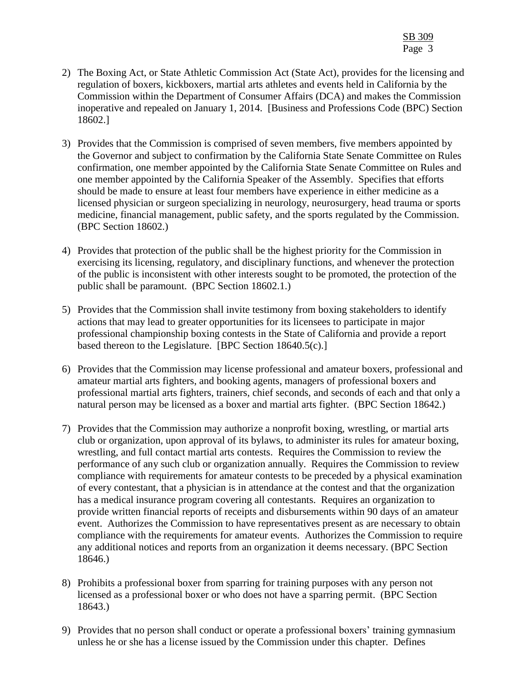- 2) The Boxing Act, or State Athletic Commission Act (State Act), provides for the licensing and regulation of boxers, kickboxers, martial arts athletes and events held in California by the Commission within the Department of Consumer Affairs (DCA) and makes the Commission inoperative and repealed on January 1, 2014. [Business and Professions Code (BPC) Section 18602.]
- 3) Provides that the Commission is comprised of seven members, five members appointed by the Governor and subject to confirmation by the California State Senate Committee on Rules confirmation, one member appointed by the California State Senate Committee on Rules and one member appointed by the California Speaker of the Assembly. Specifies that efforts should be made to ensure at least four members have experience in either medicine as a licensed physician or surgeon specializing in neurology, neurosurgery, head trauma or sports medicine, financial management, public safety, and the sports regulated by the Commission. (BPC Section 18602.)
- 4) Provides that protection of the public shall be the highest priority for the Commission in exercising its licensing, regulatory, and disciplinary functions, and whenever the protection of the public is inconsistent with other interests sought to be promoted, the protection of the public shall be paramount. (BPC Section 18602.1.)
- 5) Provides that the Commission shall invite testimony from boxing stakeholders to identify actions that may lead to greater opportunities for its licensees to participate in major professional championship boxing contests in the State of California and provide a report based thereon to the Legislature. [BPC Section 18640.5(c).]
- 6) Provides that the Commission may license professional and amateur boxers, professional and amateur martial arts fighters, and booking agents, managers of professional boxers and professional martial arts fighters, trainers, chief seconds, and seconds of each and that only a natural person may be licensed as a boxer and martial arts fighter. (BPC Section 18642.)
- 7) Provides that the Commission may authorize a nonprofit boxing, wrestling, or martial arts club or organization, upon approval of its bylaws, to administer its rules for amateur boxing, wrestling, and full contact martial arts contests. Requires the Commission to review the performance of any such club or organization annually. Requires the Commission to review compliance with requirements for amateur contests to be preceded by a physical examination of every contestant, that a physician is in attendance at the contest and that the organization has a medical insurance program covering all contestants. Requires an organization to provide written financial reports of receipts and disbursements within 90 days of an amateur event. Authorizes the Commission to have representatives present as are necessary to obtain compliance with the requirements for amateur events. Authorizes the Commission to require any additional notices and reports from an organization it deems necessary. (BPC Section 18646.)
- 8) Prohibits a professional boxer from sparring for training purposes with any person not licensed as a professional boxer or who does not have a sparring permit. (BPC Section 18643.)
- 9) Provides that no person shall conduct or operate a professional boxers' training gymnasium unless he or she has a license issued by the Commission under this chapter. Defines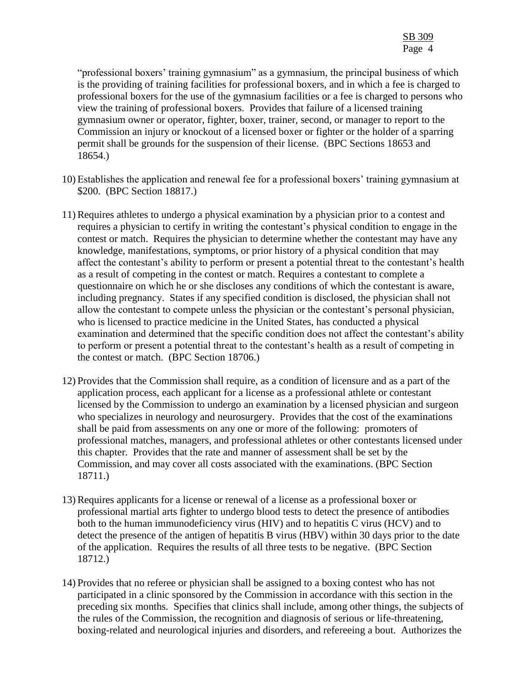"professional boxers' training gymnasium" as a gymnasium, the principal business of which is the providing of training facilities for professional boxers, and in which a fee is charged to professional boxers for the use of the gymnasium facilities or a fee is charged to persons who view the training of professional boxers. Provides that failure of a licensed training gymnasium owner or operator, fighter, boxer, trainer, second, or manager to report to the Commission an injury or knockout of a licensed boxer or fighter or the holder of a sparring permit shall be grounds for the suspension of their license. (BPC Sections 18653 and 18654.)

- 10) Establishes the application and renewal fee for a professional boxers' training gymnasium at \$200. (BPC Section 18817.)
- 11) Requires athletes to undergo a physical examination by a physician prior to a contest and requires a physician to certify in writing the contestant's physical condition to engage in the contest or match. Requires the physician to determine whether the contestant may have any knowledge, manifestations, symptoms, or prior history of a physical condition that may affect the contestant's ability to perform or present a potential threat to the contestant's health as a result of competing in the contest or match. Requires a contestant to complete a questionnaire on which he or she discloses any conditions of which the contestant is aware, including pregnancy. States if any specified condition is disclosed, the physician shall not allow the contestant to compete unless the physician or the contestant's personal physician, who is licensed to practice medicine in the United States, has conducted a physical examination and determined that the specific condition does not affect the contestant's ability to perform or present a potential threat to the contestant's health as a result of competing in the contest or match. (BPC Section 18706.)
- 12) Provides that the Commission shall require, as a condition of licensure and as a part of the application process, each applicant for a license as a professional athlete or contestant licensed by the Commission to undergo an examination by a licensed physician and surgeon who specializes in neurology and neurosurgery. Provides that the cost of the examinations shall be paid from assessments on any one or more of the following: promoters of professional matches, managers, and professional athletes or other contestants licensed under this chapter. Provides that the rate and manner of assessment shall be set by the Commission, and may cover all costs associated with the examinations. (BPC Section 18711.)
- 13) Requires applicants for a license or renewal of a license as a professional boxer or professional martial arts fighter to undergo blood tests to detect the presence of antibodies both to the human immunodeficiency virus (HIV) and to hepatitis C virus (HCV) and to detect the presence of the antigen of hepatitis B virus (HBV) within 30 days prior to the date of the application. Requires the results of all three tests to be negative. (BPC Section 18712.)
- 14) Provides that no referee or physician shall be assigned to a boxing contest who has not participated in a clinic sponsored by the Commission in accordance with this section in the preceding six months. Specifies that clinics shall include, among other things, the subjects of the rules of the Commission, the recognition and diagnosis of serious or life-threatening, boxing-related and neurological injuries and disorders, and refereeing a bout. Authorizes the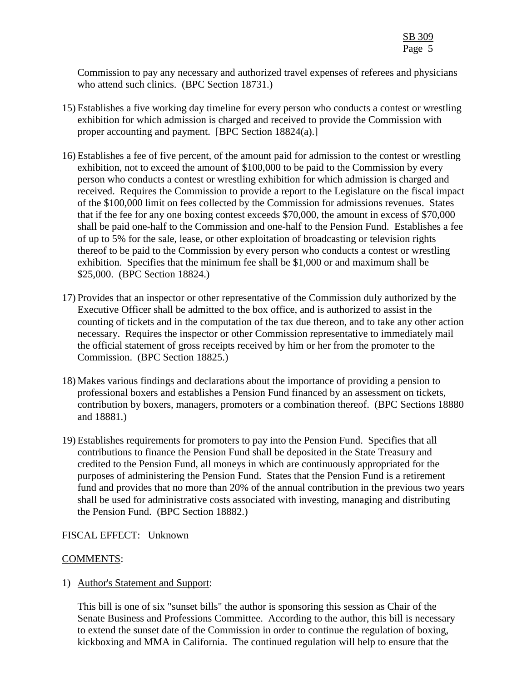Commission to pay any necessary and authorized travel expenses of referees and physicians who attend such clinics. (BPC Section 18731.)

- 15) Establishes a five working day timeline for every person who conducts a contest or wrestling exhibition for which admission is charged and received to provide the Commission with proper accounting and payment. [BPC Section 18824(a).]
- 16) Establishes a fee of five percent, of the amount paid for admission to the contest or wrestling exhibition, not to exceed the amount of \$100,000 to be paid to the Commission by every person who conducts a contest or wrestling exhibition for which admission is charged and received. Requires the Commission to provide a report to the Legislature on the fiscal impact of the \$100,000 limit on fees collected by the Commission for admissions revenues. States that if the fee for any one boxing contest exceeds \$70,000, the amount in excess of \$70,000 shall be paid one-half to the Commission and one-half to the Pension Fund. Establishes a fee of up to 5% for the sale, lease, or other exploitation of broadcasting or television rights thereof to be paid to the Commission by every person who conducts a contest or wrestling exhibition. Specifies that the minimum fee shall be \$1,000 or and maximum shall be \$25,000. (BPC Section 18824.)
- 17) Provides that an inspector or other representative of the Commission duly authorized by the Executive Officer shall be admitted to the box office, and is authorized to assist in the counting of tickets and in the computation of the tax due thereon, and to take any other action necessary. Requires the inspector or other Commission representative to immediately mail the official statement of gross receipts received by him or her from the promoter to the Commission. (BPC Section 18825.)
- 18) Makes various findings and declarations about the importance of providing a pension to professional boxers and establishes a Pension Fund financed by an assessment on tickets, contribution by boxers, managers, promoters or a combination thereof. (BPC Sections 18880 and 18881.)
- 19) Establishes requirements for promoters to pay into the Pension Fund. Specifies that all contributions to finance the Pension Fund shall be deposited in the State Treasury and credited to the Pension Fund, all moneys in which are continuously appropriated for the purposes of administering the Pension Fund. States that the Pension Fund is a retirement fund and provides that no more than 20% of the annual contribution in the previous two years shall be used for administrative costs associated with investing, managing and distributing the Pension Fund. (BPC Section 18882.)

# FISCAL EFFECT: Unknown

# COMMENTS:

1) Author's Statement and Support:

This bill is one of six "sunset bills" the author is sponsoring this session as Chair of the Senate Business and Professions Committee. According to the author, this bill is necessary to extend the sunset date of the Commission in order to continue the regulation of boxing, kickboxing and MMA in California. The continued regulation will help to ensure that the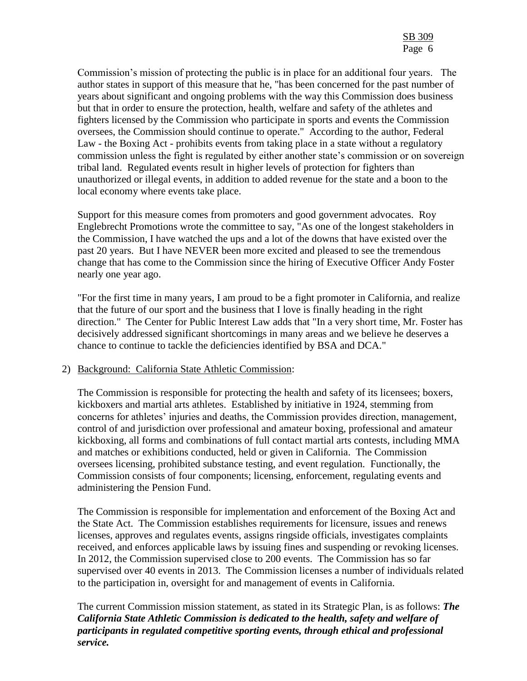Commission's mission of protecting the public is in place for an additional four years. The author states in support of this measure that he, "has been concerned for the past number of years about significant and ongoing problems with the way this Commission does business but that in order to ensure the protection, health, welfare and safety of the athletes and fighters licensed by the Commission who participate in sports and events the Commission oversees, the Commission should continue to operate." According to the author, Federal Law - the Boxing Act - prohibits events from taking place in a state without a regulatory commission unless the fight is regulated by either another state's commission or on sovereign tribal land. Regulated events result in higher levels of protection for fighters than unauthorized or illegal events, in addition to added revenue for the state and a boon to the local economy where events take place.

Support for this measure comes from promoters and good government advocates. Roy Englebrecht Promotions wrote the committee to say, "As one of the longest stakeholders in the Commission, I have watched the ups and a lot of the downs that have existed over the past 20 years. But I have NEVER been more excited and pleased to see the tremendous change that has come to the Commission since the hiring of Executive Officer Andy Foster nearly one year ago.

"For the first time in many years, I am proud to be a fight promoter in California, and realize that the future of our sport and the business that I love is finally heading in the right direction." The Center for Public Interest Law adds that "In a very short time, Mr. Foster has decisively addressed significant shortcomings in many areas and we believe he deserves a chance to continue to tackle the deficiencies identified by BSA and DCA."

### 2) Background: California State Athletic Commission:

The Commission is responsible for protecting the health and safety of its licensees; boxers, kickboxers and martial arts athletes. Established by initiative in 1924, stemming from concerns for athletes' injuries and deaths, the Commission provides direction, management, control of and jurisdiction over professional and amateur boxing, professional and amateur kickboxing, all forms and combinations of full contact martial arts contests, including MMA and matches or exhibitions conducted, held or given in California. The Commission oversees licensing, prohibited substance testing, and event regulation. Functionally, the Commission consists of four components; licensing, enforcement, regulating events and administering the Pension Fund.

The Commission is responsible for implementation and enforcement of the Boxing Act and the State Act. The Commission establishes requirements for licensure, issues and renews licenses, approves and regulates events, assigns ringside officials, investigates complaints received, and enforces applicable laws by issuing fines and suspending or revoking licenses. In 2012, the Commission supervised close to 200 events. The Commission has so far supervised over 40 events in 2013. The Commission licenses a number of individuals related to the participation in, oversight for and management of events in California.

The current Commission mission statement, as stated in its Strategic Plan, is as follows: *The California State Athletic Commission is dedicated to the health, safety and welfare of participants in regulated competitive sporting events, through ethical and professional service.*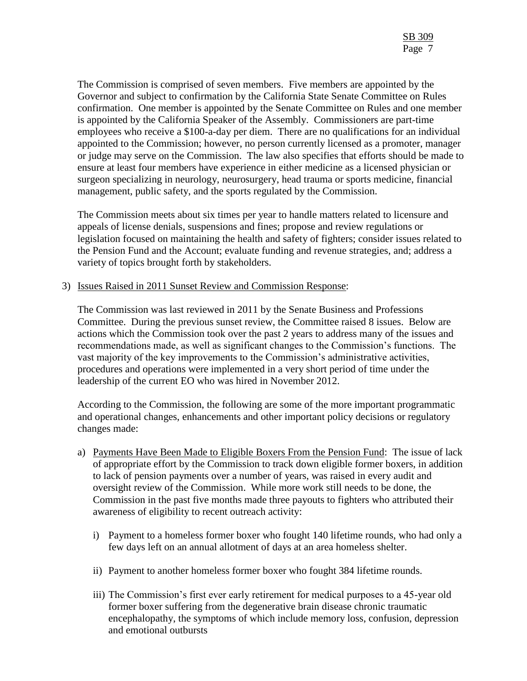The Commission is comprised of seven members. Five members are appointed by the Governor and subject to confirmation by the California State Senate Committee on Rules confirmation. One member is appointed by the Senate Committee on Rules and one member is appointed by the California Speaker of the Assembly. Commissioners are part-time employees who receive a \$100-a-day per diem. There are no qualifications for an individual appointed to the Commission; however, no person currently licensed as a promoter, manager or judge may serve on the Commission. The law also specifies that efforts should be made to ensure at least four members have experience in either medicine as a licensed physician or surgeon specializing in neurology, neurosurgery, head trauma or sports medicine, financial management, public safety, and the sports regulated by the Commission.

The Commission meets about six times per year to handle matters related to licensure and appeals of license denials, suspensions and fines; propose and review regulations or legislation focused on maintaining the health and safety of fighters; consider issues related to the Pension Fund and the Account; evaluate funding and revenue strategies, and; address a variety of topics brought forth by stakeholders.

### 3) Issues Raised in 2011 Sunset Review and Commission Response:

The Commission was last reviewed in 2011 by the Senate Business and Professions Committee. During the previous sunset review, the Committee raised 8 issues. Below are actions which the Commission took over the past 2 years to address many of the issues and recommendations made, as well as significant changes to the Commission's functions. The vast majority of the key improvements to the Commission's administrative activities, procedures and operations were implemented in a very short period of time under the leadership of the current EO who was hired in November 2012.

According to the Commission, the following are some of the more important programmatic and operational changes, enhancements and other important policy decisions or regulatory changes made:

- a) Payments Have Been Made to Eligible Boxers From the Pension Fund:The issue of lack of appropriate effort by the Commission to track down eligible former boxers, in addition to lack of pension payments over a number of years, was raised in every audit and oversight review of the Commission. While more work still needs to be done, the Commission in the past five months made three payouts to fighters who attributed their awareness of eligibility to recent outreach activity:
	- i) Payment to a homeless former boxer who fought 140 lifetime rounds, who had only a few days left on an annual allotment of days at an area homeless shelter.
	- ii) Payment to another homeless former boxer who fought 384 lifetime rounds.
	- iii) The Commission's first ever early retirement for medical purposes to a 45-year old former boxer suffering from the degenerative brain disease chronic traumatic encephalopathy, the symptoms of which include memory loss, confusion, depression and emotional outbursts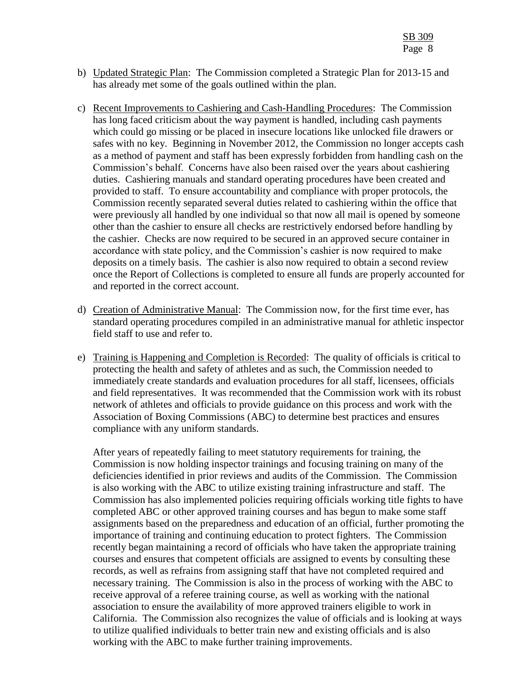- b) Updated Strategic Plan: The Commission completed a Strategic Plan for 2013-15 and has already met some of the goals outlined within the plan.
- c) Recent Improvements to Cashiering and Cash-Handling Procedures: The Commission has long faced criticism about the way payment is handled, including cash payments which could go missing or be placed in insecure locations like unlocked file drawers or safes with no key. Beginning in November 2012, the Commission no longer accepts cash as a method of payment and staff has been expressly forbidden from handling cash on the Commission's behalf. Concerns have also been raised over the years about cashiering duties. Cashiering manuals and standard operating procedures have been created and provided to staff. To ensure accountability and compliance with proper protocols, the Commission recently separated several duties related to cashiering within the office that were previously all handled by one individual so that now all mail is opened by someone other than the cashier to ensure all checks are restrictively endorsed before handling by the cashier. Checks are now required to be secured in an approved secure container in accordance with state policy, and the Commission's cashier is now required to make deposits on a timely basis. The cashier is also now required to obtain a second review once the Report of Collections is completed to ensure all funds are properly accounted for and reported in the correct account.
- d) Creation of Administrative Manual: The Commission now, for the first time ever, has standard operating procedures compiled in an administrative manual for athletic inspector field staff to use and refer to.
- e) Training is Happening and Completion is Recorded: The quality of officials is critical to protecting the health and safety of athletes and as such, the Commission needed to immediately create standards and evaluation procedures for all staff, licensees, officials and field representatives. It was recommended that the Commission work with its robust network of athletes and officials to provide guidance on this process and work with the Association of Boxing Commissions (ABC) to determine best practices and ensures compliance with any uniform standards.

After years of repeatedly failing to meet statutory requirements for training, the Commission is now holding inspector trainings and focusing training on many of the deficiencies identified in prior reviews and audits of the Commission. The Commission is also working with the ABC to utilize existing training infrastructure and staff. The Commission has also implemented policies requiring officials working title fights to have completed ABC or other approved training courses and has begun to make some staff assignments based on the preparedness and education of an official, further promoting the importance of training and continuing education to protect fighters. The Commission recently began maintaining a record of officials who have taken the appropriate training courses and ensures that competent officials are assigned to events by consulting these records, as well as refrains from assigning staff that have not completed required and necessary training. The Commission is also in the process of working with the ABC to receive approval of a referee training course, as well as working with the national association to ensure the availability of more approved trainers eligible to work in California. The Commission also recognizes the value of officials and is looking at ways to utilize qualified individuals to better train new and existing officials and is also working with the ABC to make further training improvements.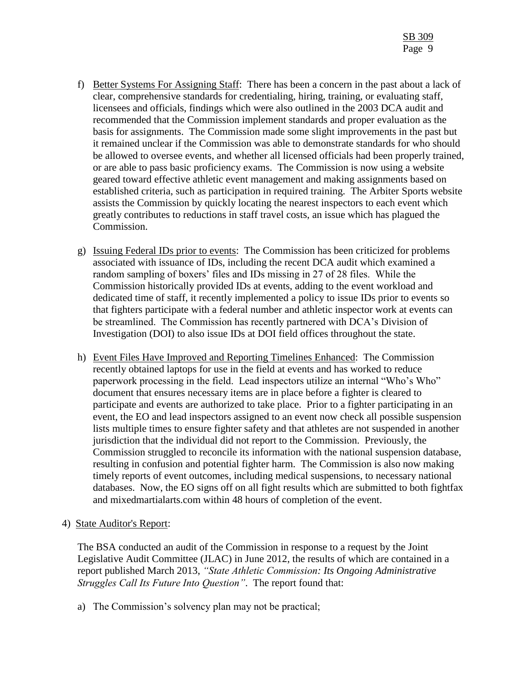- f) Better Systems For Assigning Staff: There has been a concern in the past about a lack of clear, comprehensive standards for credentialing, hiring, training, or evaluating staff, licensees and officials, findings which were also outlined in the 2003 DCA audit and recommended that the Commission implement standards and proper evaluation as the basis for assignments. The Commission made some slight improvements in the past but it remained unclear if the Commission was able to demonstrate standards for who should be allowed to oversee events, and whether all licensed officials had been properly trained, or are able to pass basic proficiency exams. The Commission is now using a website geared toward effective athletic event management and making assignments based on established criteria, such as participation in required training. The Arbiter Sports website assists the Commission by quickly locating the nearest inspectors to each event which greatly contributes to reductions in staff travel costs, an issue which has plagued the Commission.
- g) Issuing Federal IDs prior to events: The Commission has been criticized for problems associated with issuance of IDs, including the recent DCA audit which examined a random sampling of boxers' files and IDs missing in 27 of 28 files. While the Commission historically provided IDs at events, adding to the event workload and dedicated time of staff, it recently implemented a policy to issue IDs prior to events so that fighters participate with a federal number and athletic inspector work at events can be streamlined. The Commission has recently partnered with DCA's Division of Investigation (DOI) to also issue IDs at DOI field offices throughout the state.
- h) Event Files Have Improved and Reporting Timelines Enhanced: The Commission recently obtained laptops for use in the field at events and has worked to reduce paperwork processing in the field. Lead inspectors utilize an internal "Who's Who" document that ensures necessary items are in place before a fighter is cleared to participate and events are authorized to take place. Prior to a fighter participating in an event, the EO and lead inspectors assigned to an event now check all possible suspension lists multiple times to ensure fighter safety and that athletes are not suspended in another jurisdiction that the individual did not report to the Commission. Previously, the Commission struggled to reconcile its information with the national suspension database, resulting in confusion and potential fighter harm. The Commission is also now making timely reports of event outcomes, including medical suspensions, to necessary national databases. Now, the EO signs off on all fight results which are submitted to both fightfax and mixedmartialarts.com within 48 hours of completion of the event.

### 4) State Auditor's Report:

The BSA conducted an audit of the Commission in response to a request by the Joint Legislative Audit Committee (JLAC) in June 2012, the results of which are contained in a report published March 2013, *"State Athletic Commission: Its Ongoing Administrative Struggles Call Its Future Into Question"*. The report found that:

a) The Commission's solvency plan may not be practical;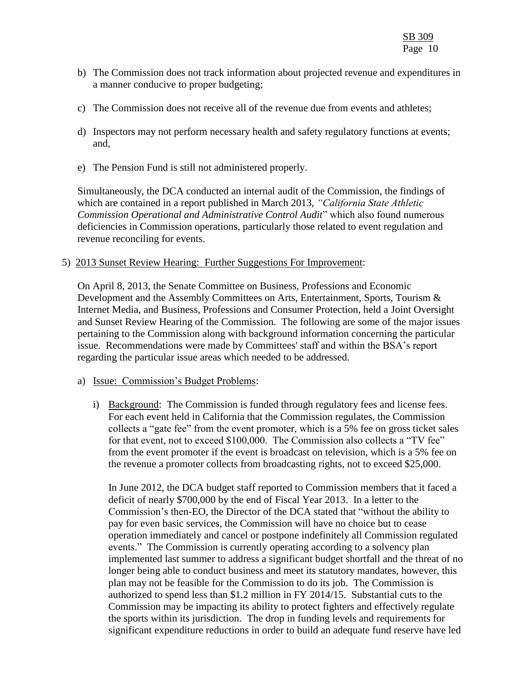- b) The Commission does not track information about projected revenue and expenditures in a manner conducive to proper budgeting;
- c) The Commission does not receive all of the revenue due from events and athletes;
- d) Inspectors may not perform necessary health and safety regulatory functions at events; and,
- e) The Pension Fund is still not administered properly.

Simultaneously, the DCA conducted an internal audit of the Commission, the findings of which are contained in a report published in March 2013, *"California State Athletic Commission Operational and Administrative Control Audit*" which also found numerous deficiencies in Commission operations, particularly those related to event regulation and revenue reconciling for events.

### 5) 2013 Sunset Review Hearing: Further Suggestions For Improvement:

On April 8, 2013, the Senate Committee on Business, Professions and Economic Development and the Assembly Committees on Arts, Entertainment, Sports, Tourism & Internet Media, and Business, Professions and Consumer Protection, held a Joint Oversight and Sunset Review Hearing of the Commission. The following are some of the major issues pertaining to the Commission along with background information concerning the particular issue. Recommendations were made by Committees' staff and within the BSA's report regarding the particular issue areas which needed to be addressed.

### a) Issue: Commission's Budget Problems:

i) Background: The Commission is funded through regulatory fees and license fees. For each event held in California that the Commission regulates, the Commission collects a "gate fee" from the event promoter, which is a 5% fee on gross ticket sales for that event, not to exceed \$100,000. The Commission also collects a "TV fee" from the event promoter if the event is broadcast on television, which is a 5% fee on the revenue a promoter collects from broadcasting rights, not to exceed \$25,000.

In June 2012, the DCA budget staff reported to Commission members that it faced a deficit of nearly \$700,000 by the end of Fiscal Year 2013. In a letter to the Commission's then-EO, the Director of the DCA stated that "without the ability to pay for even basic services, the Commission will have no choice but to cease operation immediately and cancel or postpone indefinitely all Commission regulated events." The Commission is currently operating according to a solvency plan implemented last summer to address a significant budget shortfall and the threat of no longer being able to conduct business and meet its statutory mandates, however, this plan may not be feasible for the Commission to do its job. The Commission is authorized to spend less than \$1.2 million in FY 2014/15. Substantial cuts to the Commission may be impacting its ability to protect fighters and effectively regulate the sports within its jurisdiction. The drop in funding levels and requirements for significant expenditure reductions in order to build an adequate fund reserve have led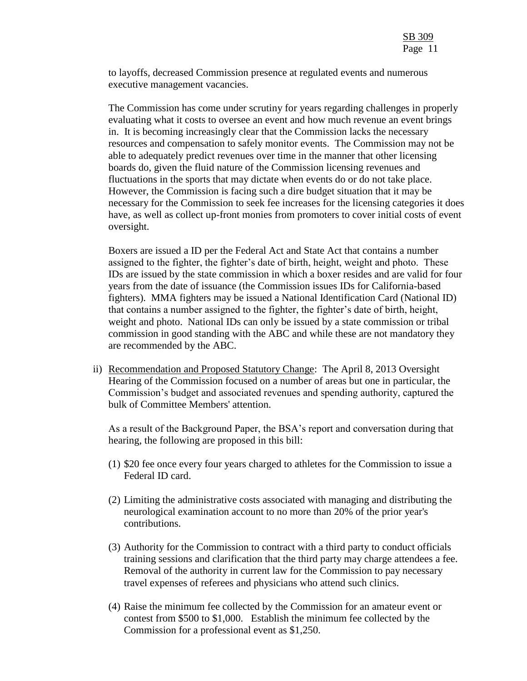to layoffs, decreased Commission presence at regulated events and numerous executive management vacancies.

The Commission has come under scrutiny for years regarding challenges in properly evaluating what it costs to oversee an event and how much revenue an event brings in. It is becoming increasingly clear that the Commission lacks the necessary resources and compensation to safely monitor events. The Commission may not be able to adequately predict revenues over time in the manner that other licensing boards do, given the fluid nature of the Commission licensing revenues and fluctuations in the sports that may dictate when events do or do not take place. However, the Commission is facing such a dire budget situation that it may be necessary for the Commission to seek fee increases for the licensing categories it does have, as well as collect up-front monies from promoters to cover initial costs of event oversight.

Boxers are issued a ID per the Federal Act and State Act that contains a number assigned to the fighter, the fighter's date of birth, height, weight and photo. These IDs are issued by the state commission in which a boxer resides and are valid for four years from the date of issuance (the Commission issues IDs for California-based fighters). MMA fighters may be issued a National Identification Card (National ID) that contains a number assigned to the fighter, the fighter's date of birth, height, weight and photo. National IDs can only be issued by a state commission or tribal commission in good standing with the ABC and while these are not mandatory they are recommended by the ABC.

ii) Recommendation and Proposed Statutory Change: The April 8, 2013 Oversight Hearing of the Commission focused on a number of areas but one in particular, the Commission's budget and associated revenues and spending authority, captured the bulk of Committee Members' attention.

As a result of the Background Paper, the BSA's report and conversation during that hearing, the following are proposed in this bill:

- (1) \$20 fee once every four years charged to athletes for the Commission to issue a Federal ID card.
- (2) Limiting the administrative costs associated with managing and distributing the neurological examination account to no more than 20% of the prior year's contributions.
- (3) Authority for the Commission to contract with a third party to conduct officials training sessions and clarification that the third party may charge attendees a fee. Removal of the authority in current law for the Commission to pay necessary travel expenses of referees and physicians who attend such clinics.
- (4) Raise the minimum fee collected by the Commission for an amateur event or contest from \$500 to \$1,000. Establish the minimum fee collected by the Commission for a professional event as \$1,250.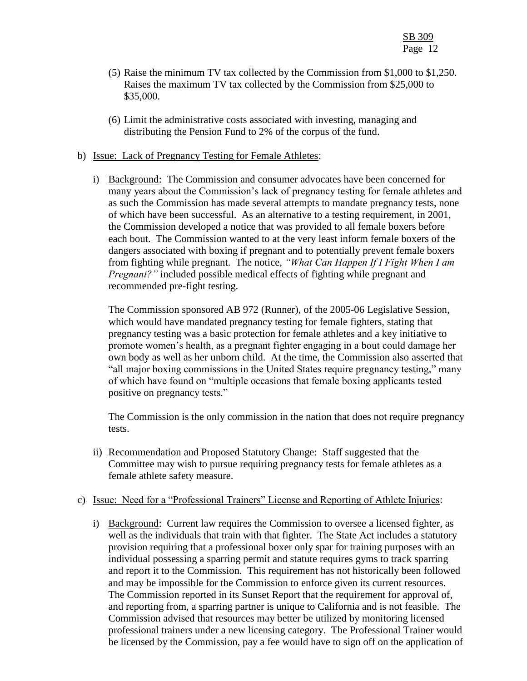- (5) Raise the minimum TV tax collected by the Commission from \$1,000 to \$1,250. Raises the maximum TV tax collected by the Commission from \$25,000 to \$35,000.
- (6) Limit the administrative costs associated with investing, managing and distributing the Pension Fund to 2% of the corpus of the fund.
- b) Issue: Lack of Pregnancy Testing for Female Athletes:
	- i) Background: The Commission and consumer advocates have been concerned for many years about the Commission's lack of pregnancy testing for female athletes and as such the Commission has made several attempts to mandate pregnancy tests, none of which have been successful. As an alternative to a testing requirement, in 2001, the Commission developed a notice that was provided to all female boxers before each bout. The Commission wanted to at the very least inform female boxers of the dangers associated with boxing if pregnant and to potentially prevent female boxers from fighting while pregnant. The notice, *"What Can Happen If I Fight When I am Pregnant?"* included possible medical effects of fighting while pregnant and recommended pre-fight testing.

The Commission sponsored AB 972 (Runner), of the 2005-06 Legislative Session, which would have mandated pregnancy testing for female fighters, stating that pregnancy testing was a basic protection for female athletes and a key initiative to promote women's health, as a pregnant fighter engaging in a bout could damage her own body as well as her unborn child. At the time, the Commission also asserted that "all major boxing commissions in the United States require pregnancy testing," many of which have found on "multiple occasions that female boxing applicants tested positive on pregnancy tests."

The Commission is the only commission in the nation that does not require pregnancy tests.

ii) Recommendation and Proposed Statutory Change: Staff suggested that the Committee may wish to pursue requiring pregnancy tests for female athletes as a female athlete safety measure.

### c) Issue: Need for a "Professional Trainers" License and Reporting of Athlete Injuries:

i) Background: Current law requires the Commission to oversee a licensed fighter, as well as the individuals that train with that fighter. The State Act includes a statutory provision requiring that a professional boxer only spar for training purposes with an individual possessing a sparring permit and statute requires gyms to track sparring and report it to the Commission. This requirement has not historically been followed and may be impossible for the Commission to enforce given its current resources. The Commission reported in its Sunset Report that the requirement for approval of, and reporting from, a sparring partner is unique to California and is not feasible. The Commission advised that resources may better be utilized by monitoring licensed professional trainers under a new licensing category. The Professional Trainer would be licensed by the Commission, pay a fee would have to sign off on the application of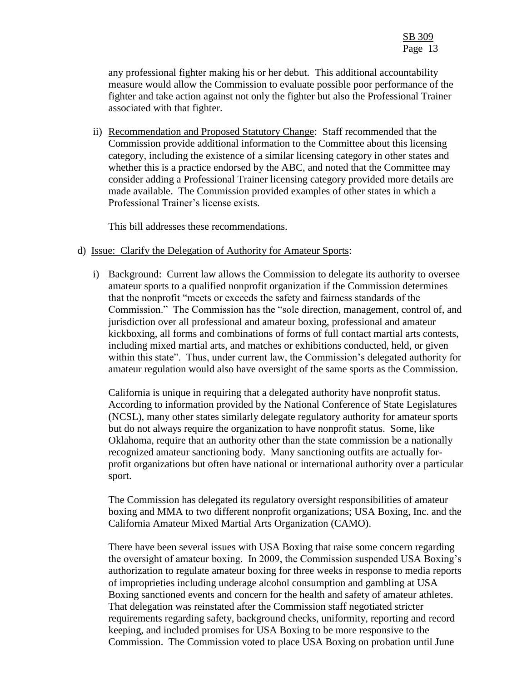any professional fighter making his or her debut. This additional accountability measure would allow the Commission to evaluate possible poor performance of the fighter and take action against not only the fighter but also the Professional Trainer associated with that fighter.

ii) Recommendation and Proposed Statutory Change: Staff recommended that the Commission provide additional information to the Committee about this licensing category, including the existence of a similar licensing category in other states and whether this is a practice endorsed by the ABC, and noted that the Committee may consider adding a Professional Trainer licensing category provided more details are made available. The Commission provided examples of other states in which a Professional Trainer's license exists.

This bill addresses these recommendations.

#### d) Issue: Clarify the Delegation of Authority for Amateur Sports:

i) Background: Current law allows the Commission to delegate its authority to oversee amateur sports to a qualified nonprofit organization if the Commission determines that the nonprofit "meets or exceeds the safety and fairness standards of the Commission." The Commission has the "sole direction, management, control of, and jurisdiction over all professional and amateur boxing, professional and amateur kickboxing, all forms and combinations of forms of full contact martial arts contests, including mixed martial arts, and matches or exhibitions conducted, held, or given within this state". Thus, under current law, the Commission's delegated authority for amateur regulation would also have oversight of the same sports as the Commission.

California is unique in requiring that a delegated authority have nonprofit status. According to information provided by the National Conference of State Legislatures (NCSL), many other states similarly delegate regulatory authority for amateur sports but do not always require the organization to have nonprofit status. Some, like Oklahoma, require that an authority other than the state commission be a nationally recognized amateur sanctioning body. Many sanctioning outfits are actually forprofit organizations but often have national or international authority over a particular sport.

The Commission has delegated its regulatory oversight responsibilities of amateur boxing and MMA to two different nonprofit organizations; USA Boxing, Inc. and the California Amateur Mixed Martial Arts Organization (CAMO).

There have been several issues with USA Boxing that raise some concern regarding the oversight of amateur boxing. In 2009, the Commission suspended USA Boxing's authorization to regulate amateur boxing for three weeks in response to media reports of improprieties including underage alcohol consumption and gambling at USA Boxing sanctioned events and concern for the health and safety of amateur athletes. That delegation was reinstated after the Commission staff negotiated stricter requirements regarding safety, background checks, uniformity, reporting and record keeping, and included promises for USA Boxing to be more responsive to the Commission. The Commission voted to place USA Boxing on probation until June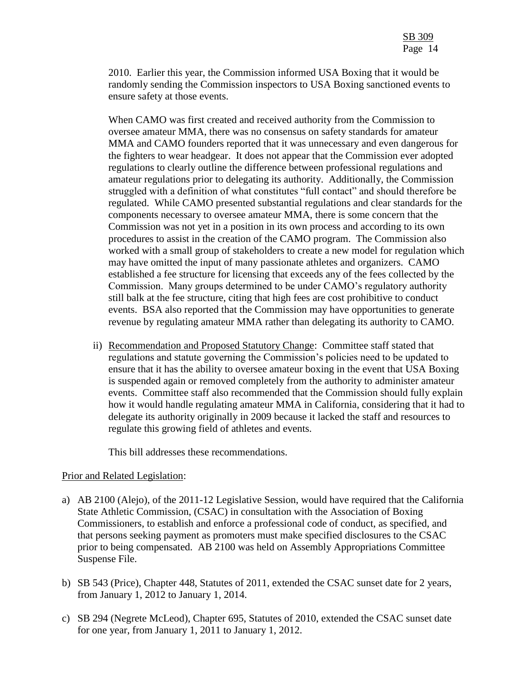2010. Earlier this year, the Commission informed USA Boxing that it would be randomly sending the Commission inspectors to USA Boxing sanctioned events to ensure safety at those events.

When CAMO was first created and received authority from the Commission to oversee amateur MMA, there was no consensus on safety standards for amateur MMA and CAMO founders reported that it was unnecessary and even dangerous for the fighters to wear headgear. It does not appear that the Commission ever adopted regulations to clearly outline the difference between professional regulations and amateur regulations prior to delegating its authority. Additionally, the Commission struggled with a definition of what constitutes "full contact" and should therefore be regulated. While CAMO presented substantial regulations and clear standards for the components necessary to oversee amateur MMA, there is some concern that the Commission was not yet in a position in its own process and according to its own procedures to assist in the creation of the CAMO program. The Commission also worked with a small group of stakeholders to create a new model for regulation which may have omitted the input of many passionate athletes and organizers. CAMO established a fee structure for licensing that exceeds any of the fees collected by the Commission. Many groups determined to be under CAMO's regulatory authority still balk at the fee structure, citing that high fees are cost prohibitive to conduct events. BSA also reported that the Commission may have opportunities to generate revenue by regulating amateur MMA rather than delegating its authority to CAMO.

ii) Recommendation and Proposed Statutory Change: Committee staff stated that regulations and statute governing the Commission's policies need to be updated to ensure that it has the ability to oversee amateur boxing in the event that USA Boxing is suspended again or removed completely from the authority to administer amateur events. Committee staff also recommended that the Commission should fully explain how it would handle regulating amateur MMA in California, considering that it had to delegate its authority originally in 2009 because it lacked the staff and resources to regulate this growing field of athletes and events.

This bill addresses these recommendations.

### Prior and Related Legislation:

- a) AB 2100 (Alejo), of the 2011-12 Legislative Session, would have required that the California State Athletic Commission, (CSAC) in consultation with the Association of Boxing Commissioners, to establish and enforce a professional code of conduct, as specified, and that persons seeking payment as promoters must make specified disclosures to the CSAC prior to being compensated. AB 2100 was held on Assembly Appropriations Committee Suspense File.
- b) SB 543 (Price), Chapter 448, Statutes of 2011, extended the CSAC sunset date for 2 years, from January 1, 2012 to January 1, 2014.
- c) SB 294 (Negrete McLeod), Chapter 695, Statutes of 2010, extended the CSAC sunset date for one year, from January 1, 2011 to January 1, 2012.